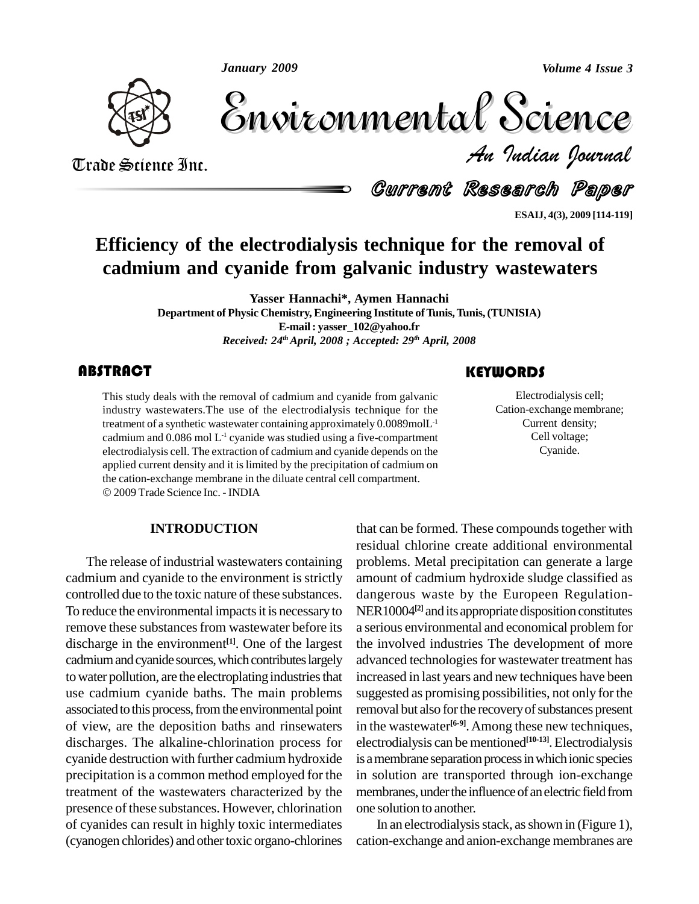*January 2009*

*Volume 4 Issue 3*



Volume 4 Issue 3 *Indian Journal* Volume 4 Issue 3

Arade Science Inc. Trade Science Inc.

Current Research Paper

**ESAIJ, 4(3), 2009 [114-119]**

# **Efficiency of the electrodialysis technique for the removal of cadmium and cyanide from galvanic industry wastewaters**

**Yasser Hannachi\*, Aymen Hannachi**

**Department of Physic Chemistry, Engineering Institute ofTunis,Tunis,(TUNISIA) E-mail: [yasser\\_102@yahoo.fr](mailto:yasser_102@yahoo.fr)** *Received: 24 thApril, 2008 ; Accepted: 29 th April, 2008*

This study deals with the<br>industry wastewaters.<br>The treatment of a synthetic v This study deals with the removal of cadmium and cyanide from galvanic industry wastewaters.The use of the electrodialysis technique for the treatment of a synthetic wastewater containing approximately  $0.0089$  mol $L<sup>-1</sup>$ cadmium and 0.086 mol L -1 cyanide was studied using a five-compartment electrodialysis cell. The extraction of cadmium and cyanide depends on the applied current density and it is limited by the precipitation of cadmium on the cation-exchange membrane in the diluate central cell compartment. 2009 Trade Science Inc. - INDIA

## **INTRODUCTION**

The release of industrial wastewaters containing cadmium and cyanide to the environment is strictly controlled due to the toxic nature of these substances. To reduce the environmental impacts it is necessary to remove these substances from wastewater before its discharge in the environment<sup>[1]</sup>. One of the largest the cadmium and cyanide sources, which contributes largely to water pollution, are the electroplating industries that use cadmium cyanide baths. The main problems associated to this process, from the environmental point of view, are the deposition baths and rinsewaters discharges. The alkaline-chlorination process for cyanide destruction with further cadmium hydroxide precipitation is a common method employed for the treatment of the wastewaters characterized by the presence of these substances. However, chlorination of cyanides can result in highly toxic intermediates (cyanogen chlorides) and other toxic organo-chlorines

## **KEYWORDS**

Electrodialysis ce<br>Cation-exchange men<br>Current density Electrodialysis cell; Cation-exchange membrane; Current density; Cell voltage; Cyanide.

that can be formed. These compounds together with residual chlorine create additional environmental problems. Metal precipitation can generate a large amount of cadmium hydroxide sludge classified as dangerous waste by the Europeen Regulation- NER10004 **[2]** and its appropriate disposition constitutes a serious environmental and economical problem for the involved industries The development of more advanced technologies for wastewater treatment has increased in last years and new techniques have been suggested as promising possibilities, not only for the removal but also for the recovery of substances present in the wastewater **[6-9]**.Among these new techniques, electrodialysis can be mentioned **[10-13]**.Electrodialysis is a membrane separation process in which ionic species in solution are transported through ion-exchange membranes, under the influence of an electric field from one solution to another.

In an electrodialysis stack, as shown in (Figure 1), cation-exchange and anion-exchange membranes are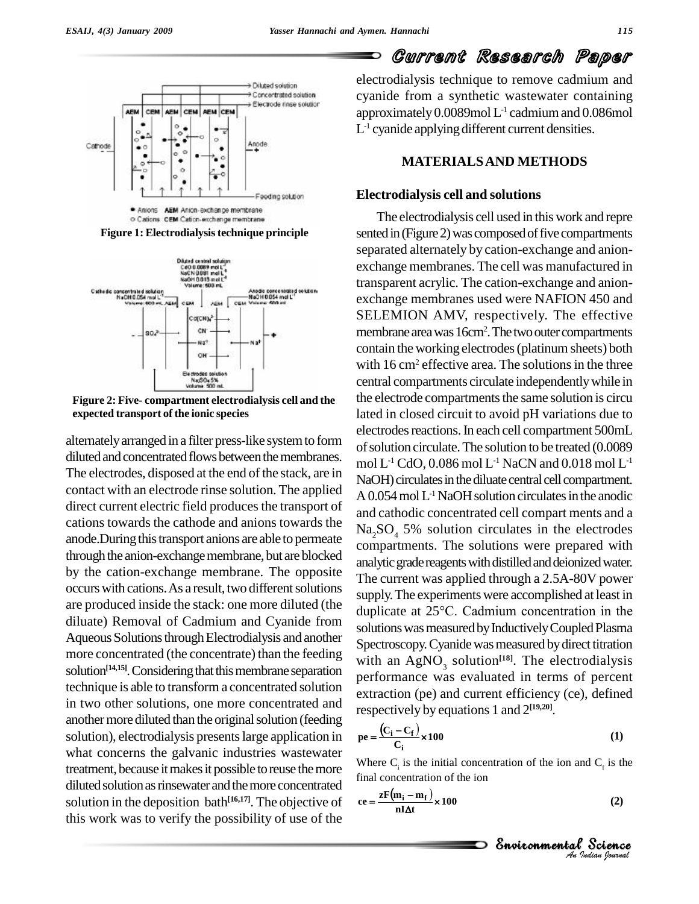

**Figure 1: Electrodialysistechnique principle**



**Figure 2: Five- compartment electrodialysis cell and the**  $\bf{expected}$  **transport** of **the ionic species** 

alternatelyarranged in a filter press-like systemto form diluted and concentrated flows between the membranes. The electrodes, disposed at the end of the stack, are in contact with an electrode rinse solution. The applied direct current electric field produces the transport of cations towards the cathode and anions towards the anode. During this transport anions are able to permeate through the anion-exchange membrane, but are blocked by the cation-exchange membrane. The opposite occurs with cations. As a result, two different solutions are produced inside the stack: one more diluted (the duplicate at  $25^{\circ}$ C. Cadmium concentration in the diluate) Removal of Cadmium and Cyanide from Aqueous Solutions through Electrodialysis and another more concentrated (the concentrate) than the feeding solution<sup>[14,15]</sup>. Considering that this membrane separation  $\frac{m+n}{n}$ technique is able to transform a concentrated solution in two other solutions, one more concentrated and another more diluted than the original solution (feeding solution), electrodialysis presents large application in what concerns the galvanic industries wastewater treatment, because it makes it possible to reuse the more diluted solution as rinsewater and the more concentrated solution in the deposition bath<sup>[16,17]</sup>. The objective of  $ee =$ this work was to verify the possibility of use of the

Current Research Paper

electrodialysis technique to remove cadmium and cyanide from a synthetic wastewater containing approximately 0.0089mol L -1 cadmiumand 0.086mol  $L<sup>-1</sup>$  cyanide applying different current densities.

#### **MATERIALSAND METHODS**

#### **Electrodialysis cell and solutions**

The electrodialysis cell used in thiswork and repre sented in (Figure 2) was composed of five compartments separated alternately by cation-exchange and anion exchange membranes. The cell was manufactured in transparent acrylic. The cation-exchange and anion exchange membranes used were NAFION 450 and SELEMION AMV, respectively. The effective membrane area was 16cm<sup>2</sup>. The two outer compartments contain the working electrodes(platinum sheets) both with  $16 \text{ cm}^2$  effective area. The solutions in the three central compartments circulate independentlywhile in the electrode compartments the same solution is circu lated in closed circuit to avoid pH variations due to electrodes reactions. In each cell compartment 500mL of solution circulate. The solution to be treated (0.0089) mol L<sup>-1</sup> CdO, 0.086 mol L<sup>-1</sup> NaCN and 0.018 mol L<sup>-1</sup> NaOH) circulates in the diluate central cell compartment.  $A$  0.054 mol  $L<sup>-1</sup>$  NaOH solution circulates in the anodic and cathodic concentrated cell compart ments and a  $Na<sub>2</sub>SO<sub>4</sub>$  5% solution circulates in the electrodes compartments. The solutions were prepared with analytic grade reagents with distilled and deionized water. The current was applied through a 2.5A-80V power<br>supply. The experiments were accomplished at least in<br>duplicate at 25°C. Cadmium concentration in the supply. The experiments were accomplished at least in solutions was measured by Inductively Coupled Plasma Spectroscopy. Cyanide was measured by direct titration with an  $AgNO_3$  solution<sup>[18]</sup>. The electrodialysis performance was evaluated in terms of percent extraction (pe) and current efficiency (ce), defined

respectively by equations 1 and 
$$
2^{[19,20]}
$$
.  
\n
$$
pe = \frac{(C_i - C_f)}{C_i} \times 100
$$
 (1)

Where  $C_i$  is the initial concentration of the ion and  $C_f$  is the  $1 C_f$  is the<br>
(2)<br>
Science  $\frac{1}{2}$  al concent

$$
\text{Area } C_{\text{f}} \text{ is the initial concentration of the ion and } C_{\text{f}} \text{ is the final concentration of the ion.}
$$
\n
$$
\text{Area } \mathbf{r} = \frac{\mathbf{z} \mathbf{F}(\mathbf{m}_{\text{i}} - \mathbf{m}_{\text{f}})}{\mathbf{n} \Delta \mathbf{t}} \times 100 \tag{2}
$$

*Indian Journal*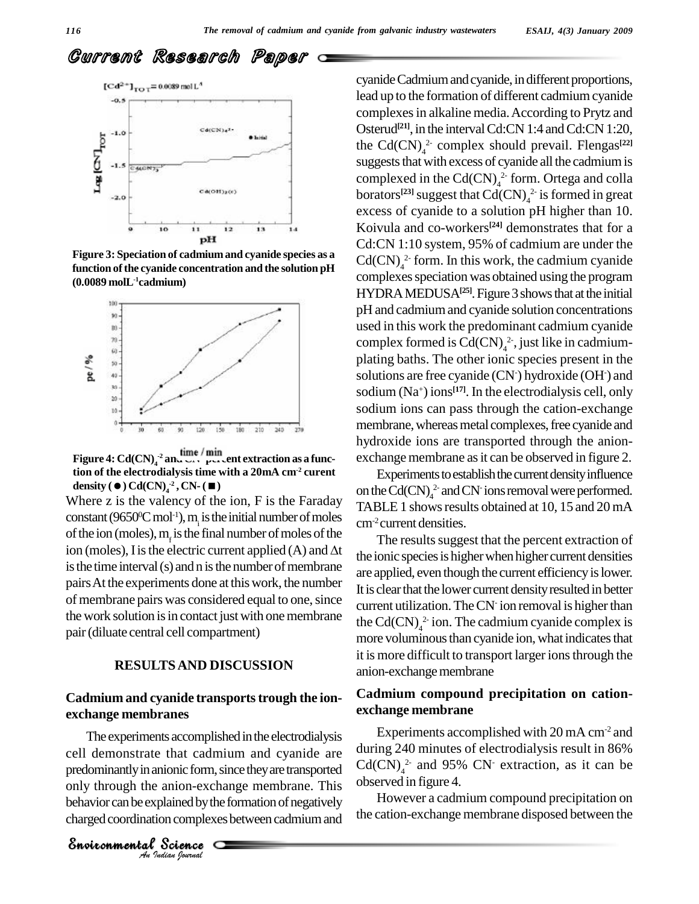# Current Research Paper



**Figure 3: Speciation of cadmiumand cyanide species as a function ofthe cyanide concentration and the solution pH (0.0089 molL -1cadmium)**



**Figure** 4:  $\text{Cd(CN)}_{4}^{2}$  and  $\text{CaO}$  per cent extraction as a func**tion of the electrodialysis time with a 20mA cm-2 curent density** ( $\bullet$ )  $Cd(CN)_{4}^{22}$ ,  $CN-(\bullet)$ 

Where z is the valency of the ion, F is the Faraday constant (9650<sup>o</sup>C mol<sup>-1</sup>), m<sub>i</sub> is the initial number of moles<br>of the ion (moles), m<sub>i</sub> is the final number of moles of the<br>ion (moles), I is the electric current applied (A) and  $\Delta t$ of the ion (moles),  $m<sub>r</sub>$  is the final number of moles of the is the time interval (s) and n is the number of membrane pairsAt the experiments done at thiswork, the number of membrane pairs was considered equal to one, since the work solution is in contact just with one membrane pair(diluate central cell compartment)

## **RESULTSAND DISCUSSION**

### **Cadmium and cyanide transportstrough the ion exchange membranes**

cell demonstrate that cadmium and cyanide are during<br>predominantly in anionic form, since they are transported Cd(C<br>only through the anion-exchange membrane. This observe<br>behavior can be explained by the formation of negat The experiments accomplished in the electrodialysis predominantly in anionic form, since they are transported only through the anion-exchange membrane. This behavior can be explained by the formation of negatively charged coordination complexes between cadmium and

*Indian Journal*

cyanide Cadmium and cyanide, in different proportions, lead up to the formation of different cadmium cyanide complexesin alkaline media.According to Prytz and Osterud<sup>[21]</sup>, in the interval Cd:CN 1:4 and Cd:CN 1:20, the Cd(CN) 4 2- complex should prevail. Flengas **[22]** suggests that with excess of cyanide all the cadmium is complexed in the  $Cd(CN)<sub>4</sub><sup>2</sup>$  form. Ortega and colla borators<sup>[23]</sup> suggest that  $Cd(CN)_4^2$  is formed in great excess of cyanide to a solution pH higher than 10. Koivula and co-workers **[24]** demonstrates that for a Cd:CN 1:10 system, 95% of cadmium are under the  $Cd(CN)<sub>4</sub><sup>2</sup>$  form. In this work, the cadmium cyanide complexes speciation was obtained using the program HYDRA MEDUSA<sup>[25]</sup>. Figure 3 shows that at the initial pH and cadmiumand cyanide solution concentrations used in this work the predominant cadmium cyanide complex formed is  $Cd(CN)<sub>4</sub><sup>2</sup>$ , just like in cadmiumplating baths. The other ionic species present in the solutions are free cyanide (CN<sup>-</sup>) hydroxide (OH<sup>-</sup>) and sodium (Na <sup>+</sup>) ions **[17]**. In the electrodialysis cell, only sodium ions can pass through the cation-exchange membrane, whereas metal complexes, free cyanide and hydroxide ions are transported through the anion exchange membrane as it can be observed in figure 2.

Experiments to establish the current density influence on the Cd(CN) $_4^2$  and CN<sup>-</sup>ions removal were performed. TABLE 1 shows results obtained at 10, 15 and 20 mA cm-2 current densities.

The results suggest that the percent extraction of the ionic species is higher when higher current densities are applied, even though the current efficiencyislower. It is clear that the lower current density resulted in better current utilization. The  $CN<sub>i</sub>$  ion removal is higher than the Cd(CN) $_4^2$  ion. The cadmium cyanide complex is more voluminous than cyanide ion, what indicates that it is more difficult to transport larger ions through the anion-exchange membrane

## **Cadmium compound precipitation on cation exchange membrane**

Experiments accomplished with 20 mA cm<sup>-2</sup> and during 240 minutes of electrodialysis result in 86%  $Cd(CN)<sub>4</sub><sup>2-</sup>$  and 95% CN<sup>-</sup> extraction, as it can be observed in figure 4.

However a cadmium compound precipitation on the cation-exchange membrane disposed between the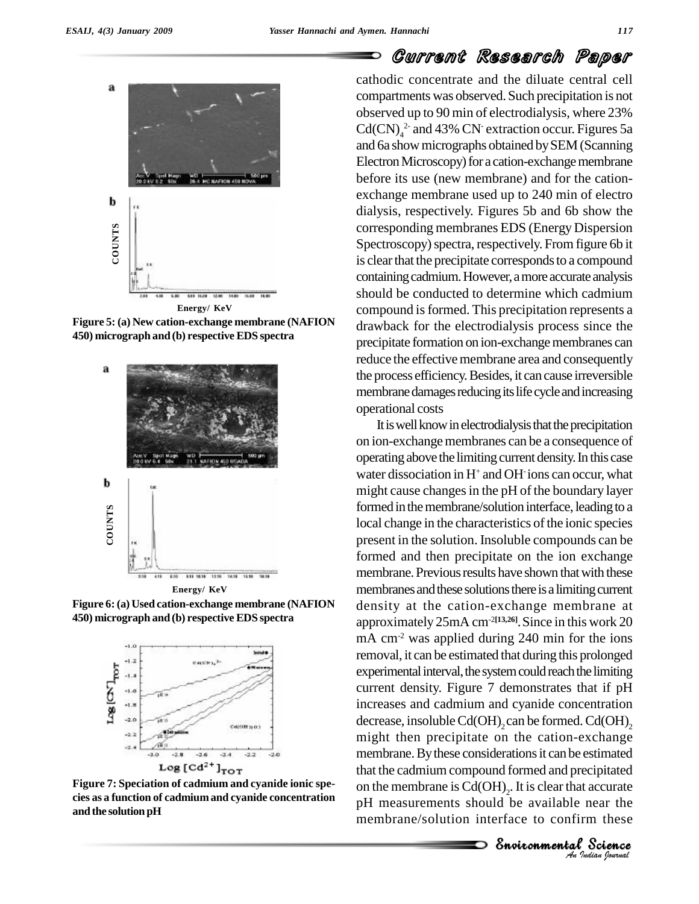

**Figure 5: (a) New cation-exchange membrane (NAFION 450) micrograph and (b) respective EDS spectra**



**Figure 6:(a) Used cation-exchange membrane (NAFION 450) micrograph and (b) respective EDS spectra**



**Figure 7: Speciation of cadmium and cyanide ionic spe cies as a function of cadmiumand cyanide concentration and the solution pH**

# Current Research Paper

cathodic concentrate and the diluate central cell compartments was observed. Such precipitation is not observed up to 90 min of electrodialysis, where 23%  $Cd(CN)<sub>4</sub><sup>2</sup>$  and 43% CN<sup>-</sup> extraction occur. Figures 5a and 6a showmicrographs obtained bySEM(Scanning Electron Microscopy) for a cation-exchange membrane before its use (new membrane) and for the cation exchange membrane used up to 240 min of electro dialysis, respectively. Figures 5b and 6b show the corresponding membranes EDS (Energy Dispersion Spectroscopy) spectra, respectively. From figure 6b it is clear that the precipitate corresponds to a compound containing cadmium. However, a more accurate analysis should be conducted to determine which cadmium compound isformed. This precipitation represents a drawback for the electrodialysis process since the precipitate formation on ion-exchange membranes can reduce the effective membrane area and consequently the process efficiency.Besides, it cancause irreversible membrane damages reducing its life cycle and increasing operational costs

membrane. By these considerations it can be estimated *I*<br> *Indian*<br> *Indian*<br> *I*<br> *Indian*<br> *Indian* stimated<br>cipitated<br>accurate<br>near the<br>m these<br>Science It is well know in electrodialysis that the precipitation on ion-exchange membranes can be a consequence of operating above the limiting current density.In this case water dissociation in  $H^+$  and OH $\cdot$  ions can occur, what might cause changes in the pH of the boundary layer formed in the membrane/solution interface, leading to a local change in the characteristics of the ionic species present in the solution. Insoluble compounds can be formed and then precipitate on the ion exchange membrane. Previous results have shown that with these membranes and these solutions there is a limiting current density at the cation-exchange membrane at approximately 25mA cm-2**[13,26]**.Since in this work 20 mA cm<sup>-2</sup> was applied during 240 min for the ions removal, it can be estimated that during this prolonged experimental interval, the system could reach the limiting current density. Figure 7 demonstrates that if pH increases and cadmium and cyanide concentration decrease, insoluble Cd(OH)<sub>2</sub> can be formed. Cd(OH)<sub>2</sub> might then precipitate on the cation-exchange that the cadmium compound formed and precipitated on the membrane is  $Cd(OH)_2$ . It is clear that accurate pH measurements should be available near the membrane/solution interface to confirm these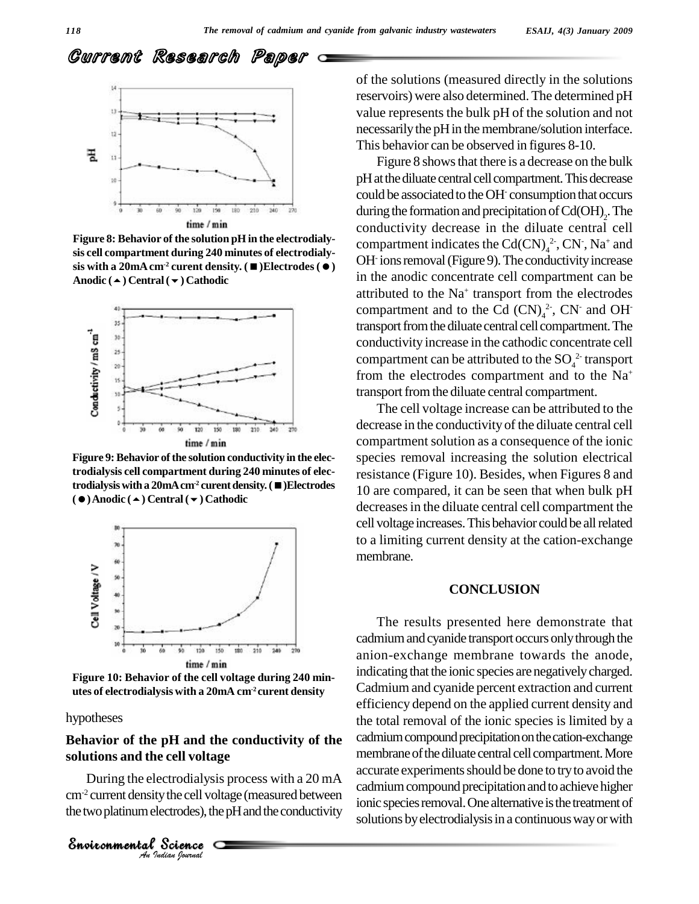# Current Research Paper



**Figure 8: Behavior of the solution pH** in the electrodialy**sis cell compartment during 240 minutes of electrodialy sis** with a 20mA cm<sup>2</sup> curent density.  $($   $\blacksquare$ ) Electrodes  $($   $\lozenge)$ **Anodic () Central() Cathodic**



**Figure 9: Behavior of the solution conductivity in the electrodialysis cell compartment during 240 minutes of electrodialysiswitha 20mAcm-2 curentdensity.()Electrodes ()Anodic () Central() Cathodic**



**Figure 10: Behavior of the cell voltage during 240 min utes of electrodialysis with a 20mA cm-2 curent density**

#### hypotheses

## *An*Environmental**solutions and the cell voltage Behavior of the pH and the conductivity of the**

Exell voltage<br>ectrodialysis provided the cell voltage<br>ectrodes), the provided set of the processes. During the electrodialysis process with a 20 mA  $\text{cm}^2$  current density the cell voltage (measured between  $\frac{1}{\text{cm}}$ the two platinum electrodes), the pH and the conductivity

of the solutions (measured directly in the solutions reservoirs) were also determined. The determined pH value represents the bulk pH of the solution and not necessarily the pH in the membrane/solution interface. This behavior can be observed in figures 8-10.

Figure 8 shows that there is a decrease on the bulk pH at the diluate central cell compartment. This decrease could be associated to the OH- consumption that occurs during the formation and precipitation of  $Cd(OH)_2$ . The conductivity decrease in the diluate central cell compartment indicates the Cd(CN) $_4^2$ , CN<sup>-</sup>, Na<sup>+</sup> and OH ions removal (Figure 9). The conductivity increase in the anodic concentrate cell compartment can be attributed to the Na<sup>+</sup> transport from the electrodes compartment and to the Cd  $(CN)<sub>4</sub><sup>2</sup>$ , CN<sup>-</sup> and OH<sup>-</sup> transport from the diluate central cell compartment. The conductivity increase in the cathodic concentrate cell compartment can be attributed to the  $\mathrm{SO}_4^{\;2\cdot}$  transport from the electrodes compartment and to the  $Na<sup>+</sup>$ transport from the diluate central compartment.

The cell voltage increase can be attributed to the decrease in the conductivity of the diluate central cell compartment solution as a consequence of the ionic species removal increasing the solution electrical resistance (Figure 10). Besides, when Figures 8 and 10 are compared, it can be seen that when bulk pH decreases in the diluate central cell compartment the cell voltage increases. This behavior could be all related to a limiting current density at the cation-exchange membrane.

#### **CONCLUSION**

The results presented here demonstrate that cadmiumandcyanide transport occurs onlythrough the anion-exchange membrane towards the anode, indicating that the ionic species are negatively charged. Cadmium and cyanide percent extraction and current efficiency depend on the applied current density and the total removal of the ionic species is limited by a cadmium compound precipitation on the cation-exchange membrane of the diluate central cell compartment. More accurate experiments should be done to try to avoid the cadmium compound precipitation and to achieve higher ionic species removal. One alternative is the treatment of solutions by electrodialysis in a continuous way or with

*Indian Journal*